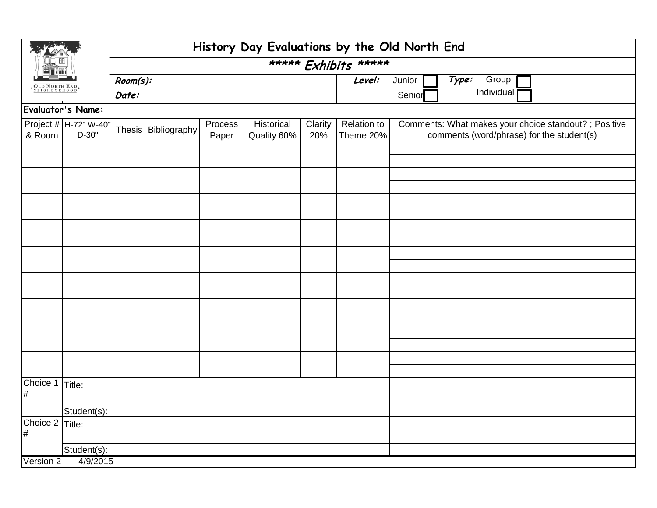| <b>OLD NORTH ENI</b> |                                  | History Day Evaluations by the Old North End |                       |                  |                           |                      |                          |        |                                                                                                    |  |  |  |
|----------------------|----------------------------------|----------------------------------------------|-----------------------|------------------|---------------------------|----------------------|--------------------------|--------|----------------------------------------------------------------------------------------------------|--|--|--|
|                      |                                  |                                              |                       |                  |                           | ***** Exhibits ***** |                          |        |                                                                                                    |  |  |  |
|                      |                                  | Room(s):                                     |                       |                  |                           |                      | Level:                   | Junior | Type:<br>Group                                                                                     |  |  |  |
|                      |                                  | Date:                                        |                       |                  |                           |                      |                          | Senior | Individual                                                                                         |  |  |  |
|                      | Evaluator's Name:                |                                              |                       |                  |                           |                      |                          |        |                                                                                                    |  |  |  |
| & Room               | Project # H-72" W-40"<br>$D-30"$ |                                              | Thesis   Bibliography | Process<br>Paper | Historical<br>Quality 60% | Clarity<br>20%       | Relation to<br>Theme 20% |        | Comments: What makes your choice standout? ; Positive<br>comments (word/phrase) for the student(s) |  |  |  |
|                      |                                  |                                              |                       |                  |                           |                      |                          |        |                                                                                                    |  |  |  |
|                      |                                  |                                              |                       |                  |                           |                      |                          |        |                                                                                                    |  |  |  |
|                      |                                  |                                              |                       |                  |                           |                      |                          |        |                                                                                                    |  |  |  |
|                      |                                  |                                              |                       |                  |                           |                      |                          |        |                                                                                                    |  |  |  |
|                      |                                  |                                              |                       |                  |                           |                      |                          |        |                                                                                                    |  |  |  |
|                      |                                  |                                              |                       |                  |                           |                      |                          |        |                                                                                                    |  |  |  |
|                      |                                  |                                              |                       |                  |                           |                      |                          |        |                                                                                                    |  |  |  |
|                      |                                  |                                              |                       |                  |                           |                      |                          |        |                                                                                                    |  |  |  |
|                      |                                  |                                              |                       |                  |                           |                      |                          |        |                                                                                                    |  |  |  |
|                      |                                  |                                              |                       |                  |                           |                      |                          |        |                                                                                                    |  |  |  |
|                      |                                  |                                              |                       |                  |                           |                      |                          |        |                                                                                                    |  |  |  |
|                      |                                  |                                              |                       |                  |                           |                      |                          |        |                                                                                                    |  |  |  |
|                      |                                  |                                              |                       |                  |                           |                      |                          |        |                                                                                                    |  |  |  |
|                      |                                  |                                              |                       |                  |                           |                      |                          |        |                                                                                                    |  |  |  |
|                      |                                  |                                              |                       |                  |                           |                      |                          |        |                                                                                                    |  |  |  |
|                      |                                  |                                              |                       |                  |                           |                      |                          |        |                                                                                                    |  |  |  |
| Choice 1             | Title:                           |                                              |                       |                  |                           |                      |                          |        |                                                                                                    |  |  |  |
| $\#$                 |                                  |                                              |                       |                  |                           |                      |                          |        |                                                                                                    |  |  |  |
|                      | Student(s):                      |                                              |                       |                  |                           |                      |                          |        |                                                                                                    |  |  |  |
| Choice 2 Title:      |                                  |                                              |                       |                  |                           |                      |                          |        |                                                                                                    |  |  |  |
| $\#$                 |                                  |                                              |                       |                  |                           |                      |                          |        |                                                                                                    |  |  |  |
|                      | Student(s):                      |                                              |                       |                  |                           |                      |                          |        |                                                                                                    |  |  |  |
| Version 2            | 4/9/2015                         |                                              |                       |                  |                           |                      |                          |        |                                                                                                    |  |  |  |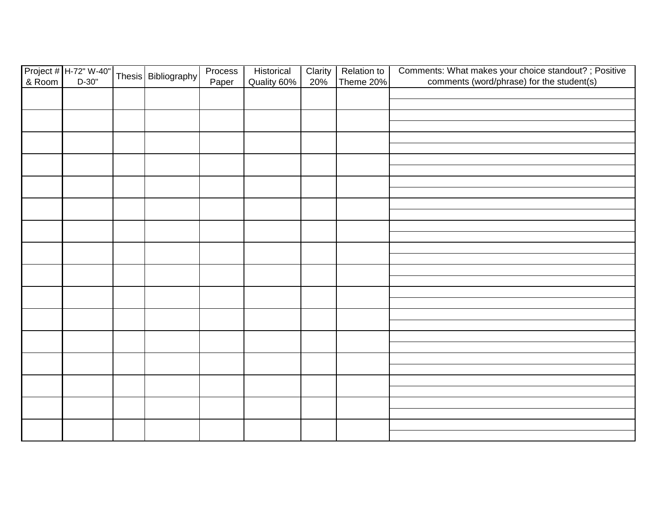|                                       |  | Thesis   Bibliography | Process | Historical  | Clarity | <b>Relation to</b> | Comments: What makes your choice standout? ; Positive |
|---------------------------------------|--|-----------------------|---------|-------------|---------|--------------------|-------------------------------------------------------|
| Project # H-72" W-40"<br>& Room D-30" |  |                       | Paper   | Quality 60% | 20%     | Theme 20%          | comments (word/phrase) for the student(s)             |
|                                       |  |                       |         |             |         |                    |                                                       |
|                                       |  |                       |         |             |         |                    |                                                       |
|                                       |  |                       |         |             |         |                    |                                                       |
|                                       |  |                       |         |             |         |                    |                                                       |
|                                       |  |                       |         |             |         |                    |                                                       |
|                                       |  |                       |         |             |         |                    |                                                       |
|                                       |  |                       |         |             |         |                    |                                                       |
|                                       |  |                       |         |             |         |                    |                                                       |
|                                       |  |                       |         |             |         |                    |                                                       |
|                                       |  |                       |         |             |         |                    |                                                       |
|                                       |  |                       |         |             |         |                    |                                                       |
|                                       |  |                       |         |             |         |                    |                                                       |
|                                       |  |                       |         |             |         |                    |                                                       |
|                                       |  |                       |         |             |         |                    |                                                       |
|                                       |  |                       |         |             |         |                    |                                                       |
|                                       |  |                       |         |             |         |                    |                                                       |
|                                       |  |                       |         |             |         |                    |                                                       |
|                                       |  |                       |         |             |         |                    |                                                       |
|                                       |  |                       |         |             |         |                    |                                                       |
|                                       |  |                       |         |             |         |                    |                                                       |
|                                       |  |                       |         |             |         |                    |                                                       |
|                                       |  |                       |         |             |         |                    |                                                       |
|                                       |  |                       |         |             |         |                    |                                                       |
|                                       |  |                       |         |             |         |                    |                                                       |
|                                       |  |                       |         |             |         |                    |                                                       |
|                                       |  |                       |         |             |         |                    |                                                       |
|                                       |  |                       |         |             |         |                    |                                                       |
|                                       |  |                       |         |             |         |                    |                                                       |
|                                       |  |                       |         |             |         |                    |                                                       |
|                                       |  |                       |         |             |         |                    |                                                       |
|                                       |  |                       |         |             |         |                    |                                                       |
|                                       |  |                       |         |             |         |                    |                                                       |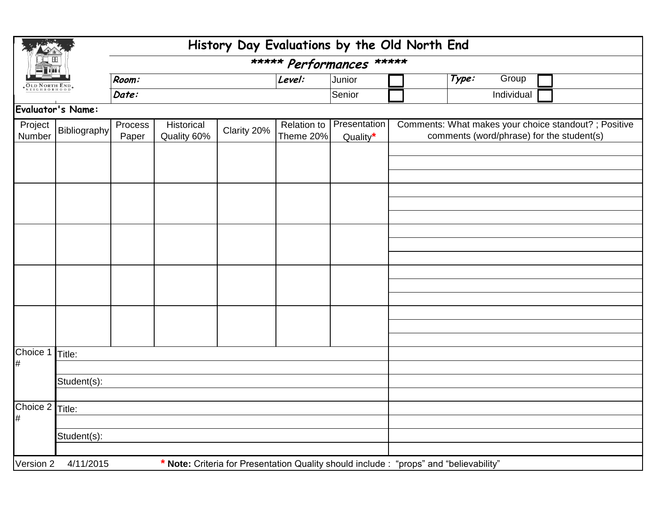| <b>OLD NORTH END</b> |                                                                                                     | History Day Evaluations by the Old North End  |  |             |                                 |                          |                                                                                                    |  |  |  |  |  |
|----------------------|-----------------------------------------------------------------------------------------------------|-----------------------------------------------|--|-------------|---------------------------------|--------------------------|----------------------------------------------------------------------------------------------------|--|--|--|--|--|
|                      |                                                                                                     |                                               |  |             |                                 | ***** Performances ***** |                                                                                                    |  |  |  |  |  |
|                      |                                                                                                     | Room:                                         |  |             | Level:                          | Junior                   | Type:<br>Group                                                                                     |  |  |  |  |  |
|                      |                                                                                                     | Date:                                         |  |             |                                 | Senior                   | Individual                                                                                         |  |  |  |  |  |
| Evaluator's Name:    |                                                                                                     |                                               |  |             |                                 |                          |                                                                                                    |  |  |  |  |  |
| Project<br>Number    | Bibliography                                                                                        | Process<br>Historical<br>Quality 60%<br>Paper |  | Clarity 20% | <b>Relation to</b><br>Theme 20% | Presentation<br>Quality* | Comments: What makes your choice standout? ; Positive<br>comments (word/phrase) for the student(s) |  |  |  |  |  |
|                      |                                                                                                     |                                               |  |             |                                 |                          |                                                                                                    |  |  |  |  |  |
|                      |                                                                                                     |                                               |  |             |                                 |                          |                                                                                                    |  |  |  |  |  |
|                      |                                                                                                     |                                               |  |             |                                 |                          |                                                                                                    |  |  |  |  |  |
|                      |                                                                                                     |                                               |  |             |                                 |                          |                                                                                                    |  |  |  |  |  |
|                      |                                                                                                     |                                               |  |             |                                 |                          |                                                                                                    |  |  |  |  |  |
|                      |                                                                                                     |                                               |  |             |                                 |                          |                                                                                                    |  |  |  |  |  |
|                      |                                                                                                     |                                               |  |             |                                 |                          |                                                                                                    |  |  |  |  |  |
|                      |                                                                                                     |                                               |  |             |                                 |                          |                                                                                                    |  |  |  |  |  |
|                      |                                                                                                     |                                               |  |             |                                 |                          |                                                                                                    |  |  |  |  |  |
|                      |                                                                                                     |                                               |  |             |                                 |                          |                                                                                                    |  |  |  |  |  |
|                      |                                                                                                     |                                               |  |             |                                 |                          |                                                                                                    |  |  |  |  |  |
|                      |                                                                                                     |                                               |  |             |                                 |                          |                                                                                                    |  |  |  |  |  |
|                      |                                                                                                     |                                               |  |             |                                 |                          |                                                                                                    |  |  |  |  |  |
| Choice 1<br>#        | Title:                                                                                              |                                               |  |             |                                 |                          |                                                                                                    |  |  |  |  |  |
|                      | Student(s):                                                                                         |                                               |  |             |                                 |                          |                                                                                                    |  |  |  |  |  |
|                      |                                                                                                     |                                               |  |             |                                 |                          |                                                                                                    |  |  |  |  |  |
| Choice 2 Title:      |                                                                                                     |                                               |  |             |                                 |                          |                                                                                                    |  |  |  |  |  |
| #                    |                                                                                                     |                                               |  |             |                                 |                          |                                                                                                    |  |  |  |  |  |
|                      | Student(s):                                                                                         |                                               |  |             |                                 |                          |                                                                                                    |  |  |  |  |  |
|                      |                                                                                                     |                                               |  |             |                                 |                          |                                                                                                    |  |  |  |  |  |
| Version 2            | * Note: Criteria for Presentation Quality should include : "props" and "believability"<br>4/11/2015 |                                               |  |             |                                 |                          |                                                                                                    |  |  |  |  |  |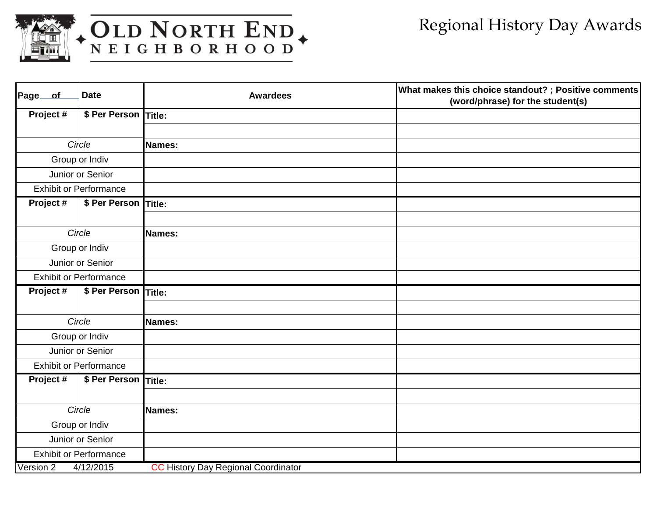

## WEIGHBORHOOD

| Page of   | <b>Date</b>                   | <b>Awardees</b>                            | What makes this choice standout? ; Positive comments<br>(word/phrase) for the student(s) |
|-----------|-------------------------------|--------------------------------------------|------------------------------------------------------------------------------------------|
| Project # | \$ Per Person Title:          |                                            |                                                                                          |
|           |                               |                                            |                                                                                          |
|           | Circle                        | Names:                                     |                                                                                          |
|           | Group or Indiv                |                                            |                                                                                          |
|           | Junior or Senior              |                                            |                                                                                          |
|           | <b>Exhibit or Performance</b> |                                            |                                                                                          |
| Project#  | \$ Per Person Title:          |                                            |                                                                                          |
|           |                               |                                            |                                                                                          |
|           | Circle                        | <b>Names:</b>                              |                                                                                          |
|           | Group or Indiv                |                                            |                                                                                          |
|           | Junior or Senior              |                                            |                                                                                          |
|           | <b>Exhibit or Performance</b> |                                            |                                                                                          |
| Project # | \$ Per Person Title:          |                                            |                                                                                          |
|           |                               |                                            |                                                                                          |
|           | Circle                        | <b>Names:</b>                              |                                                                                          |
|           | Group or Indiv                |                                            |                                                                                          |
|           | Junior or Senior              |                                            |                                                                                          |
|           | <b>Exhibit or Performance</b> |                                            |                                                                                          |
| Project # | \$ Per Person Title:          |                                            |                                                                                          |
|           |                               |                                            |                                                                                          |
|           | Circle                        | Names:                                     |                                                                                          |
|           | Group or Indiv                |                                            |                                                                                          |
|           | Junior or Senior              |                                            |                                                                                          |
|           | <b>Exhibit or Performance</b> |                                            |                                                                                          |
| Version 2 | 4/12/2015                     | <b>CC History Day Regional Coordinator</b> |                                                                                          |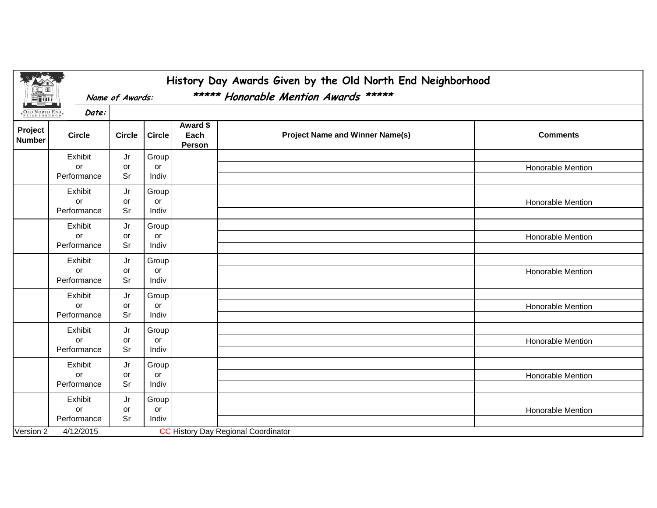|                          |                              |                 |                      |                                      | History Day Awards Given by the Old North End Neighborhood |                   |  |  |  |  |
|--------------------------|------------------------------|-----------------|----------------------|--------------------------------------|------------------------------------------------------------|-------------------|--|--|--|--|
|                          |                              | Name of Awards: |                      | ***** Honorable Mention Awards ***** |                                                            |                   |  |  |  |  |
| <b>OLD NORTH END</b>     | Date:                        |                 |                      |                                      |                                                            |                   |  |  |  |  |
| Project<br><b>Number</b> | <b>Circle</b>                | <b>Circle</b>   | <b>Circle</b>        | Award \$<br>Each<br>Person           | <b>Project Name and Winner Name(s)</b>                     | <b>Comments</b>   |  |  |  |  |
|                          | Exhibit<br>or<br>Performance | Jr<br>or<br>Sr  | Group<br>or<br>Indiv |                                      |                                                            | Honorable Mention |  |  |  |  |
|                          | Exhibit<br>or<br>Performance | Jr<br>or<br>Sr  | Group<br>or<br>Indiv |                                      |                                                            | Honorable Mention |  |  |  |  |
|                          | Exhibit<br>or<br>Performance | Jr<br>or<br>Sr  | Group<br>or<br>Indiv |                                      |                                                            | Honorable Mention |  |  |  |  |
|                          | Exhibit<br>or<br>Performance | Jr<br>or<br>Sr  | Group<br>or<br>Indiv |                                      |                                                            | Honorable Mention |  |  |  |  |
|                          | Exhibit<br>or<br>Performance | Jr<br>or<br>Sr  | Group<br>or<br>Indiv |                                      |                                                            | Honorable Mention |  |  |  |  |
|                          | Exhibit<br>or<br>Performance | Jr<br>or<br>Sr  | Group<br>or<br>Indiv |                                      |                                                            | Honorable Mention |  |  |  |  |
|                          | Exhibit<br>or<br>Performance | Jr<br>or<br>Sr  | Group<br>or<br>Indiv |                                      |                                                            | Honorable Mention |  |  |  |  |
|                          | Exhibit<br>or<br>Performance | Jr<br>or<br>Sr  | Group<br>or<br>Indiv |                                      |                                                            | Honorable Mention |  |  |  |  |
| Version 2                | 4/12/2015                    |                 |                      |                                      | <b>CC History Day Regional Coordinator</b>                 |                   |  |  |  |  |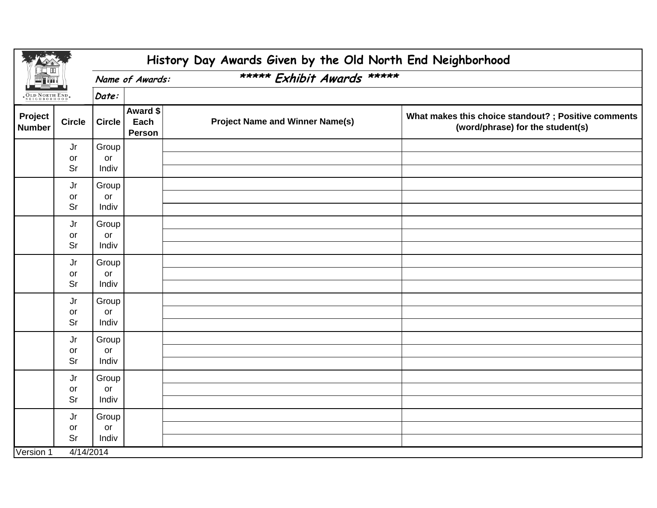| <b>OLD NORTH END</b><br>NEIGHBORHOOD |                | History Day Awards Given by the Old North End Neighborhood |                            |                                        |                                                                                          |  |  |  |  |  |  |  |
|--------------------------------------|----------------|------------------------------------------------------------|----------------------------|----------------------------------------|------------------------------------------------------------------------------------------|--|--|--|--|--|--|--|
|                                      |                |                                                            | Name of Awards:            | ***** Exhibit Awards *****             |                                                                                          |  |  |  |  |  |  |  |
|                                      |                | Date:                                                      |                            |                                        |                                                                                          |  |  |  |  |  |  |  |
| Project<br><b>Number</b>             | <b>Circle</b>  | <b>Circle</b>                                              | Award \$<br>Each<br>Person | <b>Project Name and Winner Name(s)</b> | What makes this choice standout? ; Positive comments<br>(word/phrase) for the student(s) |  |  |  |  |  |  |  |
|                                      | Jr<br>or<br>Sr | Group<br>or<br>Indiv                                       |                            |                                        |                                                                                          |  |  |  |  |  |  |  |
|                                      | Jr<br>or<br>Sr | Group<br>or<br>Indiv                                       |                            |                                        |                                                                                          |  |  |  |  |  |  |  |
|                                      | Jr<br>or<br>Sr | Group<br>or<br>Indiv                                       |                            |                                        |                                                                                          |  |  |  |  |  |  |  |
|                                      | Jr<br>or<br>Sr | Group<br>or<br>Indiv                                       |                            |                                        |                                                                                          |  |  |  |  |  |  |  |
|                                      | Jr<br>or<br>Sr | Group<br>or<br>Indiv                                       |                            |                                        |                                                                                          |  |  |  |  |  |  |  |
|                                      | Jr<br>or<br>Sr | Group<br>or<br>Indiv                                       |                            |                                        |                                                                                          |  |  |  |  |  |  |  |
|                                      | Jr<br>or<br>Sr | Group<br>or<br>Indiv                                       |                            |                                        |                                                                                          |  |  |  |  |  |  |  |
|                                      | Jr<br>or<br>Sr | Group<br>or<br>Indiv                                       |                            |                                        |                                                                                          |  |  |  |  |  |  |  |
| Version 1                            | 4/14/2014      |                                                            |                            |                                        |                                                                                          |  |  |  |  |  |  |  |